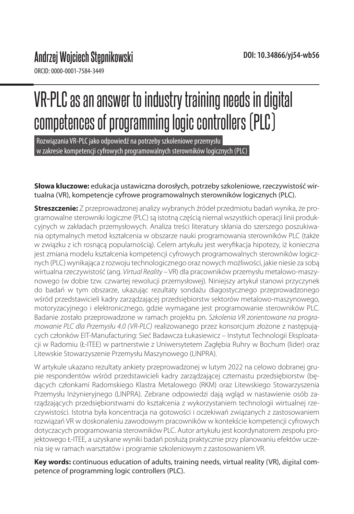ORCID: 0000-0001-7584-3449

# VR-PLC as an answer to industry training needs in digital competences of programming logic controllers (PLC)

Rozwiązania VR-PLC jako odpowiedź na potrzeby szkoleniowe przemysłu w zakresie kompetencji cyfrowych programowalnych sterowników logicznych (PLC)

#### **Słowa kluczowe:** edukacja ustawiczna dorosłych, potrzeby szkoleniowe, rzeczywistość wirtualna (VR), kompetencje cyfrowe programowalnych sterowników logicznych (PLC).

**Streszczenie:** Z przeprowadzonej analizy wybranych źródeł przedmiotu badań wynika, że programowalne sterowniki logiczne (PLC) są istotną częścią niemal wszystkich operacji linii produkcyjnych w zakładach przemysłowych. Analiza treści literatury skłania do szerszego poszukiwania optymalnych metod kształcenia w obszarze nauki programowania sterowników PLC (także w związku z ich rosnącą popularnością). Celem artykułu jest weryfikacja hipotezy, iż konieczna jest zmiana modelu kształcenia kompetencji cyfrowych programowalnych sterowników logicznych (PLC) wynikająca z rozwoju technologicznego oraz nowych możliwości, jakie niesie za sobą wirtualna rzeczywistość (ang. *Virtual Reality* – VR) dla pracowników przemysłu metalowo-maszynowego (w dobie tzw. czwartej rewolucji przemysłowej). Niniejszy artykuł stanowi przyczynek do badań w tym obszarze, ukazując rezultaty sondażu diagostycznego przeprowadzonego wśród przedstawicieli kadry zarządzającej przedsiębiorstw sektorów metalowo-maszynowego, motoryzacyjnego i elektronicznego, gdzie wymagane jest programowanie sterowników PLC. Badanie zostało przeprowadzone w ramach projektu pn. *Szkolenia VR zorientowane na programowanie PLC dla Przemysłu 4.0 (VR-PLC)* realizowanego przez konsorcjum złożone z następujących członków EIT-Manufacturing: Sieć Badawcza Łukasiewicz – Instytut Technologii Eksploatacji w Radomiu (Ł-ITEE) w partnerstwie z Uniwersytetem Zagłębia Ruhry w Bochum (lider) oraz Litewskie Stowarzyszenie Przemysłu Maszynowego (LINPRA).

W artykule ukazano rezultaty ankiety przeprowadzonej w lutym 2022 na celowo dobranej grupie respondentów wśród przedstawicieli kadry zarządzającej czternastu przedsiębiorstw (będących członkami Radomskiego Klastra Metalowego (RKM) oraz Litewskiego Stowarzyszenia Przemysłu Inżynieryjnego (LINPRA). Zebrane odpowiedzi dają wgląd w nastawienie osób zarządzających przedsiębiorstwami do kształcenia z wykorzystaniem technologii wirtualnej rzeczywistości. Istotna była koncentracja na gotowości i oczekiwań związanych z zastosowaniem rozwiązań VR w doskonaleniu zawodowym pracowników w kontekście kompetencji cyfrowych dotyczacych programowania sterowników PLC. Autor artykułu jest koordynatorem zespołu projektowego Ł-ITEE, a uzyskane wyniki badań posłużą praktycznie przy planowaniu efektów uczenia się w ramach warsztatów i programie szkoleniowym z zastosowaniem VR.

**Key words:** continuous education of adults, training needs, virtual reality (VR), digital competence of programming logic controllers (PLC).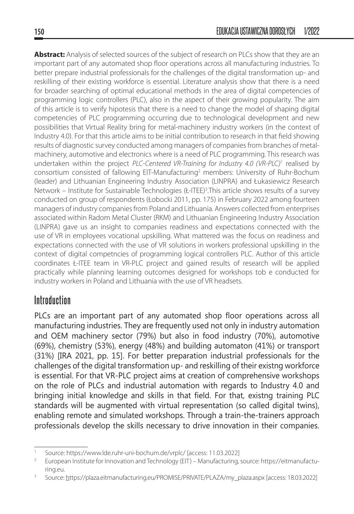**Abstract:** Analysis of selected sources of the subject of research on PLCs show that they are an important part of any automated shop floor operations across all manufacturing industries. To better prepare industrial professionals for the challenges of the digital transformation up- and reskilling of their existing workforce is essential. Literature analysis show that there is a need for broader searching of optimal educational methods in the area of digital competencies of programming logic controllers (PLC), also in the aspect of their growing popularity. The aim of this article is to verify hipotesis that there is a need to change the model of shaping digital competencies of PLC programming occurring due to technological development and new possibilities that Virtual Reality bring for metal-machinery industry workers (in the context of Industry 4.0). For that this article aims to be initial contribution to research in that field showing results of diagnostic survey conducted among managers of companies from branches of metalmachinery, automotive and electronics where is a need of PLC programming. This research was undertaken within the project PLC-Centered VR-Training for Industry 4.0 (VR-PLC)<sup>1</sup> realised by consortium consisted of fallowing EIT-Manufacturing<sup>2</sup> members: University of Ruhr-Bochum (leader) and Lithuanian Engineering Industry Association (LINPRA) and Łukasiewicz Research Network - Institute for Sustainable Technologies (Ł-ITEE)<sup>3</sup>. This article shows results of a survey conducted on group of respondents (Łobocki 2011, pp. 175) in February 2022 among fourteen managers of industry companies from Poland and Lithuania. Answers collected from enterprises associated within Radom Metal Cluster (RKM) and Lithuanian Engineering Industry Association (LINPRA) gave us an insight to companies readiness and expectations connected with the use of VR in employees vocational upskilling. What mattered was the focus on readiness and expectations connected with the use of VR solutions in workers professional upskilling in the context of digital competncies of programming logical controllers PLC. Author of this article coordinates Ł-ITEE team in VR-PLC project and gained results of research will be applied practically while planning learning outcomes designed for workshops tob e conducted for industry workers in Poland and Lithuania with the use of VR headsets.

## **Introduction**

PLCs are an important part of any automated shop floor operations across all manufacturing industries. They are frequently used not only in industry automation and OEM machinery sector (79%) but also in food industry (70%), automotive (69%), chemistry (53%), energy (48%) and building automaton (41%) or transport (31%) [IRA 2021, pp. 15]. For better preparation industrial professionals for the challenges of the digital transformation up- and reskilling of their existng workforce is essential. For that VR-PLC project aims at creation of comprehensive workshops on the role of PLCs and industrial automation with regards to Industry 4.0 and bringing initial knowledge and skills in that field. For that, existng training PLC standards will be augmented with virtual representation (so called digital twins), enabling remote and simulated workshops. Through a train-the-trainers approach professionals develop the skills necessary to drive innovation in their companies.

<sup>1</sup> Source: https://www.lde.ruhr-uni-bochum.de/vrplc/ [access: 11.03.2022]

<sup>&</sup>lt;sup>2</sup> European Institute for Innovation and Technology (EIT) – Manufacturing, source: https://eitmanufacturing.eu.

<sup>3</sup> Source: https://plaza.eitmanufacturing.eu/PROMISE/PRIVATE/PLAZA/my\_plaza.aspx [access: 18.03.2022]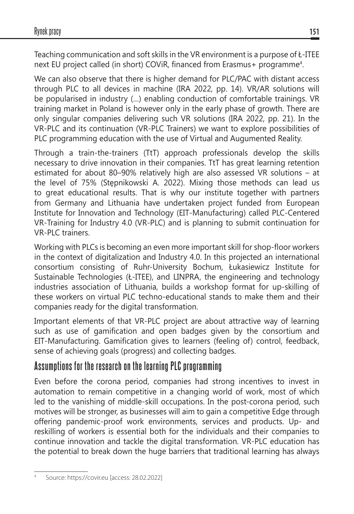Teaching communication and soft skills in the VR environment is a purpose of Ł-ITEE next EU project called (in short) COViR, financed from Erasmus+ programme<sup>4</sup>.

We can also observe that there is higher demand for PLC/PAC with distant access through PLC to all devices in machine (IRA 2022, pp. 14). VR/AR solutions will be popularised in industry (…) enabling conduction of comfortable trainings. VR training market in Poland is however only in the early phase of growth. There are only singular companies delivering such VR solutions (IRA 2022, pp. 21). In the VR-PLC and its continuation (VR-PLC Trainers) we want to explore possibilities of PLC programming education with the use of Virtual and Augumented Reality.

Through a train-the-trainers (TtT) approach professionals develop the skills necessary to drive innovation in their companies. TtT has great learning retention estimated for about 80–90% relatively high are also assessed VR solutions – at the level of 75% (Stępnikowski A. 2022). Mixing those methods can lead us to great educational results. That is why our institute together with partners from Germany and Lithuania have undertaken project funded from European Institute for Innovation and Technology (EIT-Manufacturing) called PLC-Centered VR-Training for Industry 4.0 (VR-PLC) and is planning to submit continuation for VR-PLC trainers.

Working with PLCs is becoming an even more important skill for shop-floor workers in the context of digitalization and Industry 4.0. In this projected an international consortium consisting of Ruhr-University Bochum, Łukasiewicz Institute for Sustainable Technologies (Ł-ITEE), and LINPRA, the engineering and technology industries association of Lithuania, builds a workshop format for up-skilling of these workers on virtual PLC techno-educational stands to make them and their companies ready for the digital transformation.

Important elements of that VR-PLC project are about attractive way of learning such as use of gamification and open badges given by the consortium and EIT-Manufacturing. Gamification gives to learners (feeling of) control, feedback, sense of achieving goals (progress) and collecting badges.

## **Assumptions for the research on the learning PLC programming**

Even before the corona period, companies had strong incentives to invest in automation to remain competitive in a changing world of work, most of which led to the vanishing of middle-skill occupations. In the post-corona period, such motives will be stronger, as businesses will aim to gain a competitive Edge through offering pandemic-proof work environments, services and products. Up- and reskilling of workers is essential both for the individuals and their companies to continue innovation and tackle the digital transformation. VR-PLC education has the potential to break down the huge barriers that traditional learning has always

Source: https://covir.eu [access: 28.02.2022]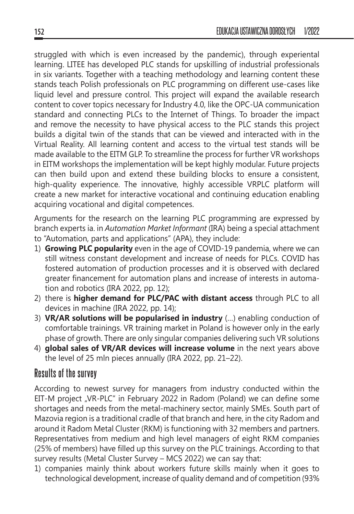struggled with which is even increased by the pandemic), through experiental learning. LITEE has developed PLC stands for upskilling of industrial professionals in six variants. Together with a teaching methodology and learning content these stands teach Polish professionals on PLC programming on different use-cases like liquid level and pressure control. This project will expand the available research content to cover topics necessary for Industry 4.0, like the OPC-UA communication standard and connecting PLCs to the Internet of Things. To broader the impact and remove the necessity to have physical access to the PLC stands this project builds a digital twin of the stands that can be viewed and interacted with in the Virtual Reality. All learning content and access to the virtual test stands will be made available to the EITM GLP. To streamline the process for further VR workshops in EITM workshops the implementation will be kept highly modular. Future projects can then build upon and extend these building blocks to ensure a consistent, high-quality experience. The innovative, highly accessible VRPLC platform will create a new market for interactive vocational and continuing education enabling acquiring vocational and digital competences.

Arguments for the research on the learning PLC programming are expressed by branch experts ia. in *Automation Market Informant* (IRA) being a special attachment to "Automation, parts and applications" (APA), they include:

- 1) **Growing PLC popularity** even in the age of COVID-19 pandemia, where we can still witness constant development and increase of needs for PLCs. COVID has fostered automation of production processes and it is observed with declared greater financement for automation plans and increase of interests in automation and robotics (IRA 2022, pp. 12);
- 2) there is **higher demand for PLC/PAC with distant access** through PLC to all devices in machine (IRA 2022, pp. 14);
- 3) **VR/AR solutions will be popularised in industry** (…) enabling conduction of comfortable trainings. VR training market in Poland is however only in the early phase of growth. There are only singular companies delivering such VR solutions
- 4) **global sales of VR/AR devices will increase volume** in the next years above the level of 25 mln pieces annually (IRA 2022, pp. 21–22).

## **Results of the survey**

According to newest survey for managers from industry conducted within the EIT-M project "VR-PLC" in February 2022 in Radom (Poland) we can define some shortages and needs from the metal-machinery sector, mainly SMEs. South part of Mazovia region is a traditional cradle of that branch and here, in the city Radom and around it Radom Metal Cluster (RKM) is functioning with 32 members and partners. Representatives from medium and high level managers of eight RKM companies (25% of members) have filled up this survey on the PLC trainings. According to that survey results (Metal Cluster Survey – MCS 2022) we can say that:

1) companies mainly think about workers future skills mainly when it goes to technological development, increase of quality demand and of competition (93%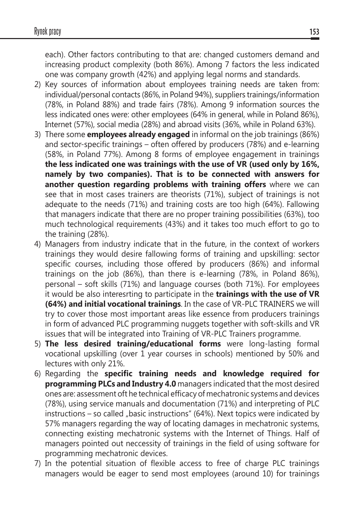each). Other factors contributing to that are: changed customers demand and increasing product complexity (both 86%). Among 7 factors the less indicated one was company growth (42%) and applying legal norms and standards.

- 2) Key sources of information about employees training needs are taken from: individual/personal contacts (86%, in Poland 94%), suppliers trainings/information (78%, in Poland 88%) and trade fairs (78%). Among 9 information sources the less indicated ones were: other employees (64% in general, while in Poland 86%), Internet (57%), social media (28%) and abroad visits (36%, while in Poland 63%).
- 3) There some **employees already engaged** in informal on the job trainings (86%) and sector-specific trainings – often offered by producers (78%) and e-learning (58%, in Poland 77%). Among 8 forms of employee engagement in trainings **the less indicated one was trainings with the use of VR (used only by 16%, namely by two companies). That is to be connected with answers for another question regarding problems with training offers** where we can see that in most cases trainers are theorists (71%), subject of trainings is not adequate to the needs (71%) and training costs are too high (64%). Fallowing that managers indicate that there are no proper training possibilities (63%), too much technological requirements (43%) and it takes too much effort to go to the training (28%).
- 4) Managers from industry indicate that in the future, in the context of workers trainings they would desire fallowing forms of training and upskilling: sector specific courses, including those offered by producers (86%) and informal trainings on the job (86%), than there is e-learning (78%, in Poland 86%), personal – soft skills (71%) and language courses (both 71%). For employees it would be also interesrting to participate in the **trainings with the use of VR (64%) and initial vocational trainings**. In the case of VR-PLC TRAINERS we will try to cover those most important areas like essence from producers trainings in form of advanced PLC programming nuggets together with soft-skills and VR issues that will be integrated into Training of VR-PLC Trainers programme.
- 5) **The less desired training/educational forms** were long-lasting formal vocational upskilling (over 1 year courses in schools) mentioned by 50% and lectures with only 21%.
- 6) Regarding the **specific training needs and knowledge required for programming PLCs and Industry 4.0** managers indicated that the most desired ones are: assessment oft he technical efficacy of mechatronic systems and devices (78%), using service manuals and documentation (71%) and interpreting of PLC  $instructions - so called$  "basic instructions" (64%). Next topics were indicated by 57% managers regarding the way of locating damages in mechatronic systems, connecting existing mechatronic systems with the Internet of Things. Half of managers pointed out neccessity of trainings in the field of using software for programming mechatronic devices.
- 7) In the potential situation of flexible access to free of charge PLC trainings managers would be eager to send most employees (around 10) for trainings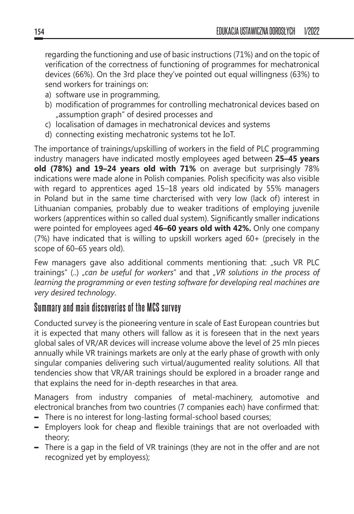regarding the functioning and use of basic instructions (71%) and on the topic of verification of the correctness of functioning of programmes for mechatronical devices (66%). On the 3rd place they've pointed out equal willingness (63%) to send workers for trainings on:

- a) software use in programming,
- b) modification of programmes for controlling mechatronical devices based on "assumption graph" of desired processes and
- c) localisation of damages in mechatronical devices and systems
- d) connecting existing mechatronic systems tot he IoT.

The importance of trainings/upskilling of workers in the field of PLC programming industry managers have indicated mostly employees aged between **25–45 years old (78%) and 19–24 years old with 71%** on average but surprisingly 78% indications were made alone in Polish companies. Polish specificity was also visible with regard to apprentices aged 15–18 years old indicated by 55% managers in Poland but in the same time charcterised with very low (lack of) interest in Lithuanian companies, probably due to weaker traditions of employing juvenile workers (apprentices within so called dual system). Significantly smaller indications were pointed for employees aged **46–60 years old with 42%.** Only one company (7%) have indicated that is willing to upskill workers aged 60+ (precisely in the scope of 60–65 years old).

Few managers gave also additional comments mentioning that: "such VR PLC trainings" (..) "*can be useful for workers*" and that "*VR solutions in the process of learning the programming or even testing software for developing real machines are very desired technology*.

## **Summary and main discoveries of the MCS survey**

Conducted survey is the pioneering venture in scale of East European countries but it is expected that many others will fallow as it is foreseen that in the next years global sales of VR/AR devices will increase volume above the level of 25 mln pieces annually while VR trainings markets are only at the early phase of growth with only singular companies delivering such virtual/augumented reality solutions. All that tendencies show that VR/AR trainings should be explored in a broader range and that explains the need for in-depth researches in that area.

Managers from industry companies of metal-machinery, automotive and electronical branches from two countries (7 companies each) have confirmed that:

- There is no interest for long-lasting formal-school based courses;
- Employers look for cheap and flexible trainings that are not overloaded with theory;
- There is a gap in the field of VR trainings (they are not in the offer and are not recognized yet by employess);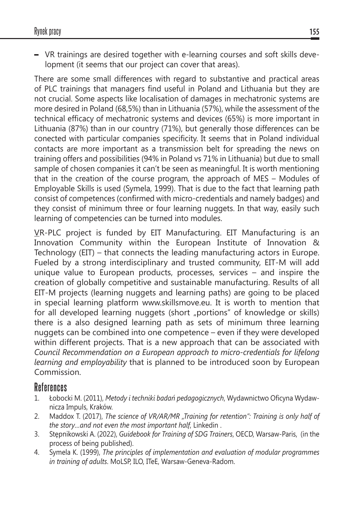– VR trainings are desired together with e-learning courses and soft skills development (it seems that our project can cover that areas).

There are some small differences with regard to substantive and practical areas of PLC trainings that managers find useful in Poland and Lithuania but they are not crucial. Some aspects like localisation of damages in mechatronic systems are more desired in Poland (68,5%) than in Lithuania (57%), while the assessment of the technical efficacy of mechatronic systems and devices (65%) is more important in Lithuania (87%) than in our country (71%), but generally those differences can be conected with particular companies specificity. It seems that in Poland individual contacts are more important as a transmission belt for spreading the news on training offers and possibilities (94% in Poland vs 71% in Lithuania) but due to small sample of chosen companies it can't be seen as meaningful. It is worth mentioning that in the creation of the course program, the approach of MES – Modules of Employable Skills is used (Symela, 1999). That is due to the fact that learning path consist of competences (confirmed with micro-credentials and namely badges) and they consist of minimum three or four learning nuggets. In that way, easily such learning of competencies can be turned into modules.

VR-PLC project is funded by EIT Manufacturing. EIT Manufacturing is an Innovation Community within the European Institute of Innovation & Technology (EIT) – that connects the leading manufacturing actors in Europe. Fueled by a strong interdisciplinary and trusted community, EIT-M will add unique value to European products, processes, services – and inspire the creation of globally competitive and sustainable manufacturing. Results of all EIT-M projects (learning nuggets and learning paths) are going to be placed in special learning platform www.skillsmove.eu. It is worth to mention that for all developed learning nuggets (short "portions" of knowledge or skills) there is a also designed learning path as sets of minimum three learning nuggets can be combined into one competence – even if they were developed within different projects. That is a new approach that can be associated with *Council Recommendation on a European approach to micro-credentials for lifelong learning and employability* that is planned to be introduced soon by European Commission.

## **References**

- 1. Łobocki M. (2011), *Metody i techniki badań pedagogicznych*, Wydawnictwo Oficyna Wydawnicza Impuls, Kraków.
- 2. Maddox T. (2017), *The science of VR/AR/MR "Training for retention": Training is only half of the story…and not even the most important half*, Linkedin .
- 3. Stępnikowski A. (2022), *Guidebook for Training of SDG Trainers*, OECD, Warsaw-Paris, (in the process of being published).
- 4. Symela K. (1999), *The principles of implementation and evaluation of modular programmes in training of adults*. MoLSP, ILO, ITeE, Warsaw-Geneva-Radom.